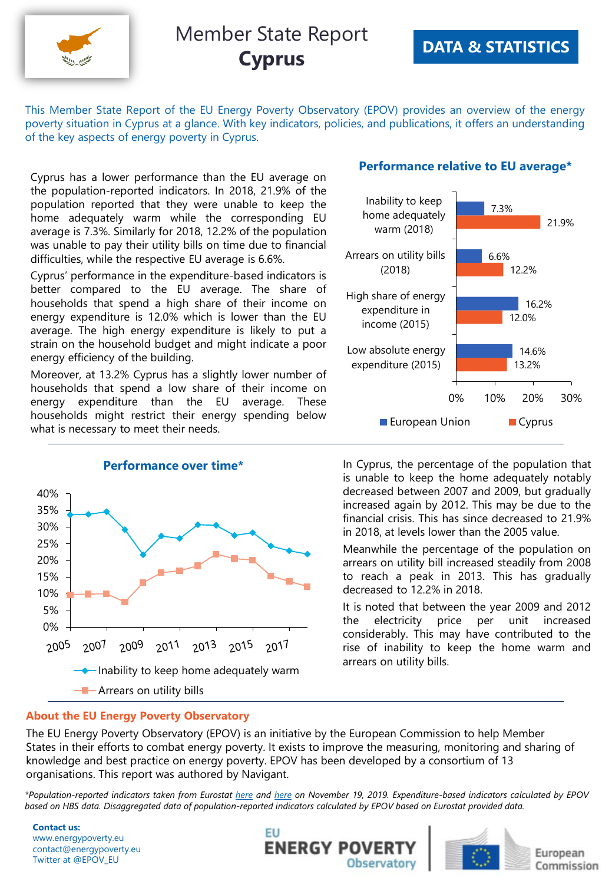

This Member State Report of the EU Energy Poverty Observatory (EPOV) provides an overview of the energy poverty situation in Cyprus at a glance. With key indicators, policies, and publications, it offers an understanding of the key aspects of energy poverty in Cyprus.

Cyprus has a lower performance than the EU average on the population-reported indicators. In 2018, 21.9% of the population reported that they were unable to keep the home adequately warm while the corresponding EU average is 7.3%. Similarly for 2018, 12.2% of the population was unable to pay their utility bills on time due to financial difficulties, while the respective EU average is 6.6%.

Cyprus' performance in the expenditure-based indicators is better compared to the EU average. The share of households that spend a high share of their income on energy expenditure is 12.0% which is lower than the EU average. The high energy expenditure is likely to put a strain on the household budget and might indicate a poor energy efficiency of the building.

Moreover, at 13.2% Cyprus has a slightly lower number of households that spend a low share of their income on energy expenditure than the EU average. These households might restrict their energy spending below what is necessary to meet their needs.



#### **Performance relative to EU average\***



In Cyprus, the percentage of the population that is unable to keep the home adequately notably decreased between 2007 and 2009, but gradually increased again by 2012. This may be due to the financial crisis. This has since decreased to 21.9% in 2018, at levels lower than the 2005 value.

Meanwhile the percentage of the population on arrears on utility bill increased steadily from 2008 to reach a peak in 2013. This has gradually decreased to 12.2% in 2018.

It is noted that between the year 2009 and 2012 the electricity price per unit increased considerably. This may have contributed to the rise of inability to keep the home warm and arrears on utility bills.

#### **About the EU Energy Poverty Observatory**

The EU Energy Poverty Observatory (EPOV) is an initiative by the European Commission to help Member States in their efforts to combat energy poverty. It exists to improve the measuring, monitoring and sharing of knowledge and best practice on energy poverty. EPOV has been developed by a consortium of 13 organisations. This report was authored by Navigant.

\*Population-reported indicators taken from Eurostat [here](http://appsso.eurostat.ec.europa.eu/nui/show.do?dataset=ilc_mdes07&lang=en) and here on November 19, 2019. Expenditure-based indicators calculated by EPOV based on HBS data. Disaggregated data of population-reported indicators calculated by EPOV based on Eurostat provided data.

**Contact us:** www.energypoverty.eu contact@energypoverty.eu Twitter at @EPOV\_EU





European Commission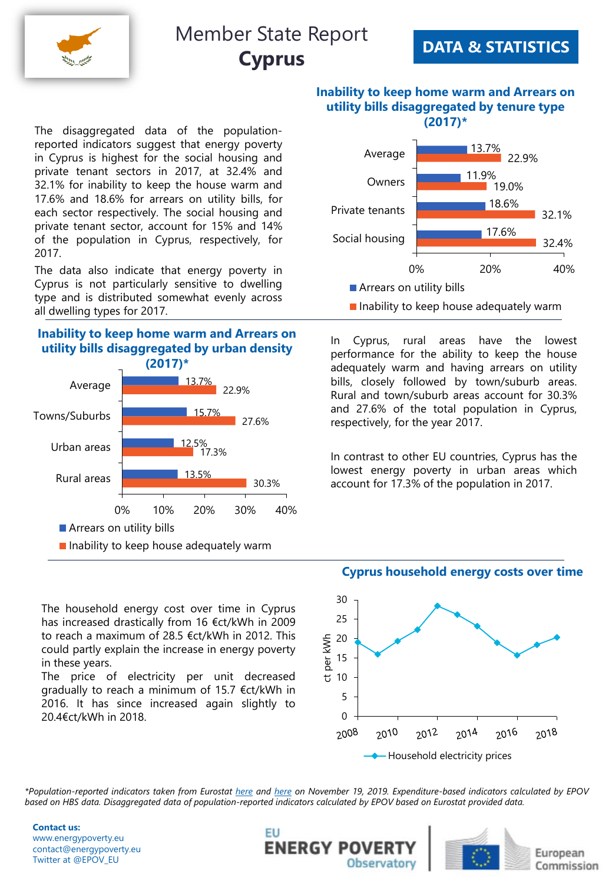

### **DATA & STATISTICS**

**(2017)\*** The disaggregated data of the populationreported indicators suggest that energy poverty in Cyprus is highest for the social housing and private tenant sectors in 2017, at 32.4% and 32.1% for inability to keep the house warm and 17.6% and 18.6% for arrears on utility bills, for each sector respectively. The social housing and private tenant sector, account for 15% and 14% of the population in Cyprus, respectively, for 2017.

The data also indicate that energy poverty in Cyprus is not particularly sensitive to dwelling type and is distributed somewhat evenly across all dwelling types for 2017.

### **Inability to keep home warm and Arrears on utility bills disaggregated by urban density**



The household energy cost over time in Cyprus has increased drastically from 16 €ct/kWh in 2009 to reach a maximum of 28.5 €ct/kWh in 2012. This could partly explain the increase in energy poverty in these years.

The price of electricity per unit decreased gradually to reach a minimum of 15.7 €ct/kWh in 2016. It has since increased again slightly to 20.4€ct/kWh in 2018.

**Inability to keep home warm and Arrears on utility bills disaggregated by tenure type** 



- 
- $\blacksquare$  Inability to keep house adequately warm

In Cyprus, rural areas have the lowest performance for the ability to keep the house adequately warm and having arrears on utility bills, closely followed by town/suburb areas. Rural and town/suburb areas account for 30.3% and 27.6% of the total population in Cyprus, respectively, for the year 2017.

In contrast to other EU countries, Cyprus has the lowest energy poverty in urban areas which account for 17.3% of the population in 2017.

#### **Cyprus household energy costs over time**



\*Population-reported indicators taken from Eurostat [here](http://appsso.eurostat.ec.europa.eu/nui/show.do?dataset=ilc_mdes07&lang=en) and here on November 19, 2019. Expenditure-based indicators calculated by EPOV based on HBS data. Disaggregated data of population-reported indicators calculated by EPOV based on Eurostat provided data.

**Contact us:** www.energypoverty.eu contact@energypoverty.eu Twitter at @EPOV\_EU





European Commission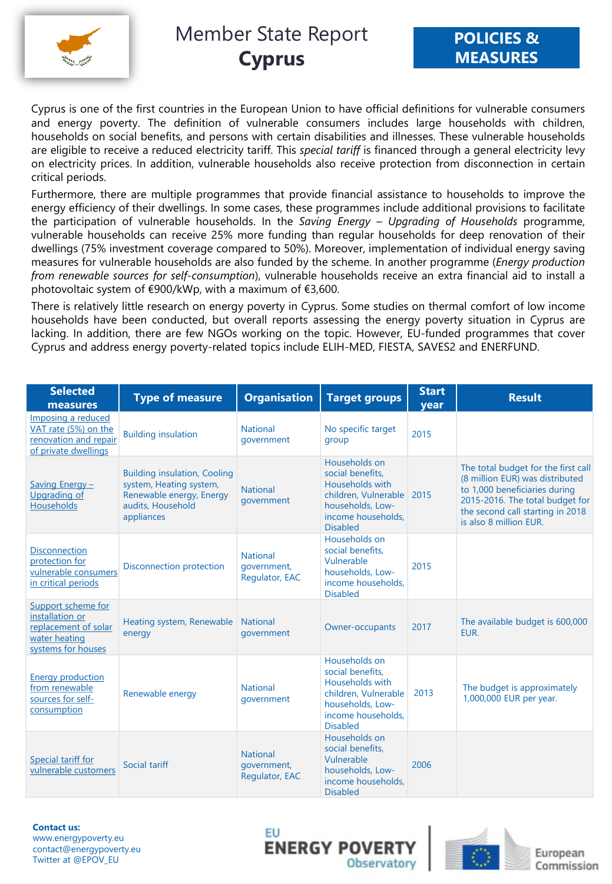

Cyprus is one of the first countries in the European Union to have official definitions for vulnerable consumers and energy poverty. The definition of vulnerable consumers includes large households with children, households on social benefits, and persons with certain disabilities and illnesses. These vulnerable households are eligible to receive a reduced electricity tariff. This *special tariff* is financed through a general electricity levy on electricity prices. In addition, vulnerable households also receive protection from disconnection in certain critical periods.

Furthermore, there are multiple programmes that provide financial assistance to households to improve the energy efficiency of their dwellings. In some cases, these programmes include additional provisions to facilitate the participation of vulnerable households. In the *Saving Energy – Upgrading of Households* programme, vulnerable households can receive 25% more funding than regular households for deep renovation of their dwellings (75% investment coverage compared to 50%). Moreover, implementation of individual energy saving measures for vulnerable households are also funded by the scheme. In another programme (*Energy production from renewable sources for self-consumption*), vulnerable households receive an extra financial aid to install a photovoltaic system of €900/kWp, with a maximum of €3,600.

There is relatively little research on energy poverty in Cyprus. Some studies on thermal comfort of low income households have been conducted, but overall reports assessing the energy poverty situation in Cyprus are lacking. In addition, there are few NGOs working on the topic. However, EU-funded programmes that cover Cyprus and address energy poverty-related topics include ELIH-MED, FIESTA, SAVES2 and ENERFUND.

| <b>Selected</b><br>measures                                                                          | <b>Type of measure</b>                                                                                                        | <b>Organisation</b>                              | <b>Target groups</b>                                                                                                                      | <b>Start</b><br>vear | <b>Result</b>                                                                                                                                                                                            |
|------------------------------------------------------------------------------------------------------|-------------------------------------------------------------------------------------------------------------------------------|--------------------------------------------------|-------------------------------------------------------------------------------------------------------------------------------------------|----------------------|----------------------------------------------------------------------------------------------------------------------------------------------------------------------------------------------------------|
| Imposing a reduced<br>VAT rate (5%) on the<br>renovation and repair<br>of private dwellings          | <b>Building insulation</b>                                                                                                    | <b>National</b><br>government                    | No specific target<br>group                                                                                                               | 2015                 |                                                                                                                                                                                                          |
| Saving Energy -<br>Upgrading of<br>Households                                                        | <b>Building insulation, Cooling</b><br>system, Heating system,<br>Renewable energy, Energy<br>audits, Household<br>appliances | <b>National</b><br>qovernment                    | Households on<br>social benefits.<br>Households with<br>children, Vulnerable<br>households, Low-<br>income households.<br><b>Disabled</b> | 2015                 | The total budget for the first call<br>(8 million EUR) was distributed<br>to 1,000 beneficiaries during<br>2015-2016. The total budget for<br>the second call starting in 2018<br>is also 8 million EUR. |
| <b>Disconnection</b><br>protection for<br>vulnerable consumers<br>in critical periods                | Disconnection protection                                                                                                      | <b>National</b><br>government,<br>Regulator, EAC | Households on<br>social benefits.<br>Vulnerable<br>households, Low-<br>income households.<br><b>Disabled</b>                              | 2015                 |                                                                                                                                                                                                          |
| Support scheme for<br>installation or<br>replacement of solar<br>water heating<br>systems for houses | Heating system, Renewable National<br>energy                                                                                  | qovernment                                       | Owner-occupants                                                                                                                           | 2017                 | The available budget is 600,000<br>EUR.                                                                                                                                                                  |
| <b>Energy production</b><br>from renewable<br>sources for self-<br>consumption                       | Renewable energy                                                                                                              | <b>National</b><br>qovernment                    | Households on<br>social benefits.<br>Households with<br>children, Vulnerable<br>households, Low-<br>income households.<br><b>Disabled</b> | 2013                 | The budget is approximately<br>1,000,000 EUR per year.                                                                                                                                                   |
| Special tariff for<br>vulnerable customers                                                           | Social tariff                                                                                                                 | <b>National</b><br>government,<br>Regulator, EAC | Households on<br>social benefits.<br>Vulnerable<br>households, Low-<br>income households.<br><b>Disabled</b>                              | 2006                 |                                                                                                                                                                                                          |

**Contact us:** www.energypoverty.eu contact@energypoverty.eu Twitter at @EPOV\_EU





European Commission